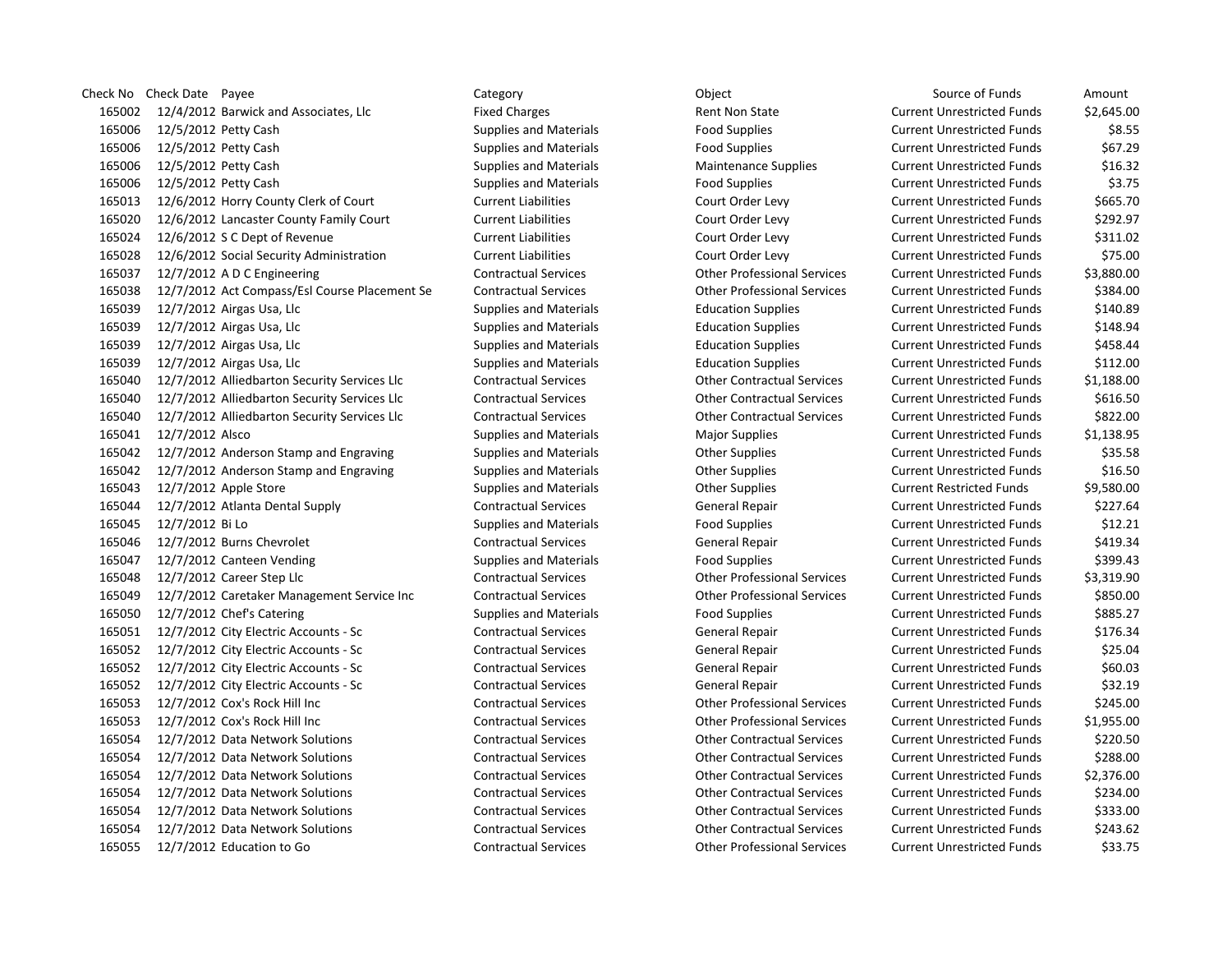Check No Check Date Payee **Category** Category Category Category Object Check No Check Date of Funds Amount 12/4/2012 Barwick and Associates, Llc Fixed Charges Rent Non State Current Unrestricted Funds \$2,645.00 12/5/2012 Petty Cash Supplies and Materials Food Supplies Current Unrestricted Funds \$8.55 12/5/2012 Petty Cash Supplies and Materials Food Supplies Current Unrestricted Funds \$67.29 12/5/2012 Petty Cash Supplies and Materials Maintenance Supplies Current Unrestricted Funds \$16.32 12/5/2012 Petty Cash Supplies and Materials Food Supplies Current Unrestricted Funds \$3.75 12/6/2012 Horry County Clerk of Court Current Liabilities Court Order Levy Current Unrestricted Funds \$665.70 12/6/2012 Lancaster County Family Court Current Liabilities Court Order Levy Current Unrestricted Funds \$292.97 12/6/2012 S C Dept of Revenue Current Liabilities Court Order Levy Current Unrestricted Funds \$311.02 12/6/2012 Social Security Administration Current Liabilities Court Order Levy Current Unrestricted Funds \$75.00 12/7/2012 A D C Engineering Contractual Services Other Professional Services Current Unrestricted Funds \$3,880.00 12/7/2012 Act Compass/Esl Course Placement Se Contractual Services Other Professional Services Current Unrestricted Funds \$384.00 12/7/2012 Airgas Usa, Llc Supplies and Materials Education Supplies Current Unrestricted Funds \$140.89 12/7/2012 Airgas Usa, Llc Supplies and Materials Education Supplies Current Unrestricted Funds \$148.94 12/7/2012 Airgas Usa, Llc Supplies and Materials Education Supplies Current Unrestricted Funds \$458.44 12/7/2012 Airgas Usa, Llc Supplies and Materials Education Supplies Current Unrestricted Funds \$112.00 12/7/2012 Alliedbarton Security Services Llc Contractual Services Other Contractual Services Current Unrestricted Funds \$1,188.00 12/7/2012 Alliedbarton Security Services Llc Contractual Services Other Contractual Services Current Unrestricted Funds \$616.50 12/7/2012 Alliedbarton Security Services Llc Contractual Services Other Contractual Services Current Unrestricted Funds \$822.00 165041 12/7/2012 Alsco Supplies and Materials Major Supplies Magior Supplies Current Unrestricted Funds \$1,138.95 165042 12/7/2012 Anderson Stamp and Engraving Supplies and Materials Current Unrestricted Funds 535.58 165042 165042 12/7/2012 Anderson Stamp and Engraving Supplies and Materials Other Supplies Current Unrestricted Funds \$16.50 12/7/2012 Apple Store Supplies and Materials Other Supplies Current Restricted Funds \$9,580.00 12/7/2012 Atlanta Dental Supply Contractual Services General Repair Current Unrestricted Funds \$227.64 165045 12/7/2012 Bi Lo Supplitre Supplies and Materials Food Supplies Food Supplies Current Unrestricted Funds \$12.21 12/7/2012 Burns Chevrolet Contractual Services General Repair Current Unrestricted Funds \$419.34 12/7/2012 Canteen Vending Supplies and Materials Food Supplies Current Unrestricted Funds \$399.43 12/7/2012 Career Step Llc Contractual Services Other Professional Services Current Unrestricted Funds \$3,319.90 12/7/2012 Caretaker Management Service Inc Contractual Services Other Professional Services Current Unrestricted Funds \$850.00 165050 12/7/2012 Chef's Catering The Supplies and Materials Food Supplies Current Unrestricted Funds 5885.27 12/7/2012 City Electric Accounts - Sc Contractual Services General Repair Current Unrestricted Funds \$176.34 12/7/2012 City Electric Accounts - Sc Contractual Services General Repair Current Unrestricted Funds \$25.04 12/7/2012 City Electric Accounts - Sc Contractual Services General Repair Current Unrestricted Funds \$60.03 12/7/2012 City Electric Accounts - Sc Contractual Services General Repair Current Unrestricted Funds \$32.19 12/7/2012 Cox's Rock Hill Inc Contractual Services Other Professional Services Current Unrestricted Funds \$245.00 12/7/2012 Cox's Rock Hill Inc Contractual Services Other Professional Services Current Unrestricted Funds \$1,955.00 12/7/2012 Data Network Solutions Contractual Services Other Contractual Services Current Unrestricted Funds \$220.50 12/7/2012 Data Network Solutions Contractual Services Other Contractual Services Current Unrestricted Funds \$288.00 12/7/2012 Data Network Solutions Contractual Services Other Contractual Services Current Unrestricted Funds \$2,376.00 12/7/2012 Data Network Solutions Contractual Services Other Contractual Services Current Unrestricted Funds \$234.00 12/7/2012 Data Network Solutions Contractual Services Other Contractual Services Current Unrestricted Funds \$333.00 12/7/2012 Data Network Solutions Contractual Services Other Contractual Services Current Unrestricted Funds \$243.62 12/7/2012 Education to Go Contractual Services Other Professional Services Current Unrestricted Funds \$33.75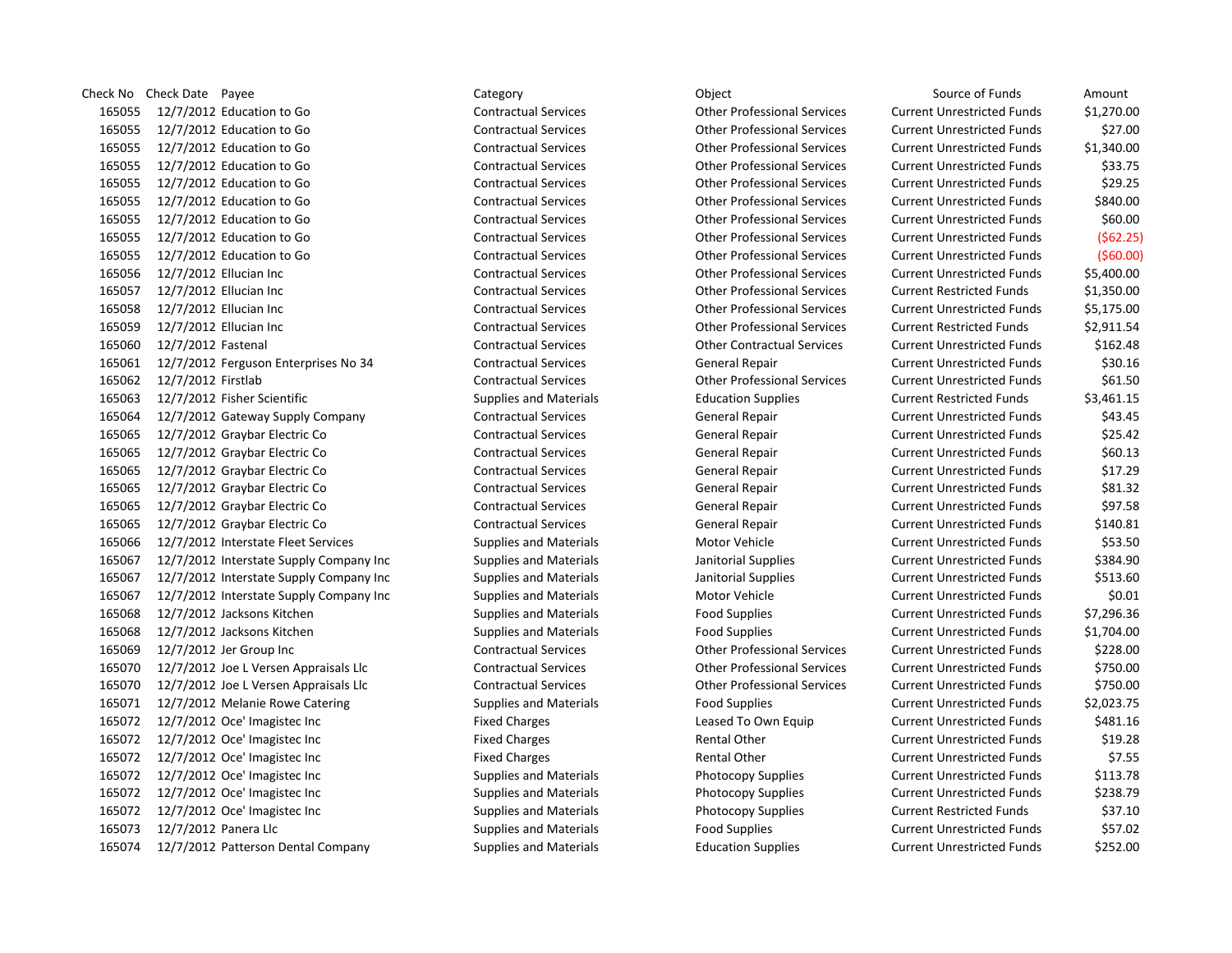Check No Check Date Payee **Category** Category Category Category Object Check No Check Date of Funds Amount 12/7/2012 Education to Go Contractual Services Other Professional Services Current Unrestricted Funds \$1,270.00 12/7/2012 Education to Go Contractual Services Other Professional Services Current Unrestricted Funds \$27.00 12/7/2012 Education to Go Contractual Services Other Professional Services Current Unrestricted Funds \$1,340.00 12/7/2012 Education to Go Contractual Services Other Professional Services Current Unrestricted Funds \$33.75 12/7/2012 Education to Go Contractual Services Other Professional Services Current Unrestricted Funds \$29.25 12/7/2012 Education to Go Contractual Services Other Professional Services Current Unrestricted Funds \$840.00 12/7/2012 Education to Go Contractual Services Other Professional Services Current Unrestricted Funds \$60.00 12/7/2012 Education to Go Contractual Services Other Professional Services Current Unrestricted Funds (\$62.25) 12/7/2012 Education to Go Contractual Services Other Professional Services Current Unrestricted Funds (\$60.00) 12/7/2012 Ellucian Inc Contractual Services Other Professional Services Current Unrestricted Funds \$5,400.00 12/7/2012 Ellucian Inc Contractual Services Other Professional Services Current Restricted Funds \$1,350.00 12/7/2012 Ellucian Inc Contractual Services Other Professional Services Current Unrestricted Funds \$5,175.00 12/7/2012 Ellucian Inc Contractual Services Other Professional Services Current Restricted Funds \$2,911.54 12/7/2012 Fastenal Contractual Services Other Contractual Services Current Unrestricted Funds \$162.48 12/7/2012 Ferguson Enterprises No 34 Contractual Services General Repair Current Unrestricted Funds \$30.16 12/7/2012 Firstlab Contractual Services Other Professional Services Current Unrestricted Funds \$61.50 12/7/2012 Fisher Scientific Supplies and Materials Education Supplies Current Restricted Funds \$3,461.15 12/7/2012 Gateway Supply Company Contractual Services General Repair Current Unrestricted Funds \$43.45 12/7/2012 Graybar Electric Co Contractual Services General Repair Current Unrestricted Funds \$25.42 12/7/2012 Graybar Electric Co Contractual Services General Repair Current Unrestricted Funds \$60.13 12/7/2012 Graybar Electric Co Contractual Services General Repair Current Unrestricted Funds \$17.29 12/7/2012 Graybar Electric Co Contractual Services General Repair Current Unrestricted Funds \$81.32 12/7/2012 Graybar Electric Co Contractual Services General Repair Current Unrestricted Funds \$97.58 12/7/2012 Graybar Electric Co Contractual Services General Repair Current Unrestricted Funds \$140.81 165066 12/7/2012 Interstate Fleet Services Supplies and Materials Motor Vehicle Current Unrestricted Funds \$53.50 12/7/2012 Interstate Supply Company Inc Supplies and Materials Janitorial Supplies Current Unrestricted Funds \$384.90 12/7/2012 Interstate Supply Company Inc Supplies and Materials Janitorial Supplies Current Unrestricted Funds \$513.60 12/7/2012 Interstate Supply Company Inc Supplies and Materials Motor Vehicle Current Unrestricted Funds \$0.01 12/7/2012 Jacksons Kitchen Supplies and Materials Food Supplies Current Unrestricted Funds \$7,296.36 12/7/2012 Jacksons Kitchen Supplies and Materials Food Supplies Current Unrestricted Funds \$1,704.00 12/7/2012 Jer Group Inc Contractual Services Other Professional Services Current Unrestricted Funds \$228.00 12/7/2012 Joe L Versen Appraisals Llc Contractual Services Other Professional Services Current Unrestricted Funds \$750.00 12/7/2012 Joe L Versen Appraisals Llc Contractual Services Other Professional Services Current Unrestricted Funds \$750.00 12/7/2012 Melanie Rowe Catering Supplies and Materials Food Supplies Current Unrestricted Funds \$2,023.75 12/7/2012 Oce' Imagistec Inc Fixed Charges Leased To Own Equip Current Unrestricted Funds \$481.16 12/7/2012 Oce' Imagistec Inc Fixed Charges Rental Other Current Unrestricted Funds \$19.28 12/7/2012 Oce' Imagistec Inc Fixed Charges Rental Other Current Unrestricted Funds \$7.55 12/7/2012 Oce' Imagistec Inc Supplies and Materials Photocopy Supplies Current Unrestricted Funds \$113.78 12/7/2012 Oce' Imagistec Inc Supplies and Materials Photocopy Supplies Current Unrestricted Funds \$238.79 12/7/2012 Oce' Imagistec Inc Supplies and Materials Photocopy Supplies Current Restricted Funds \$37.10 12/7/2012 Panera Llc Supplies and Materials Food Supplies Current Unrestricted Funds \$57.02

12/7/2012 Patterson Dental Company Supplies and Materials Education Supplies Current Unrestricted Funds \$252.00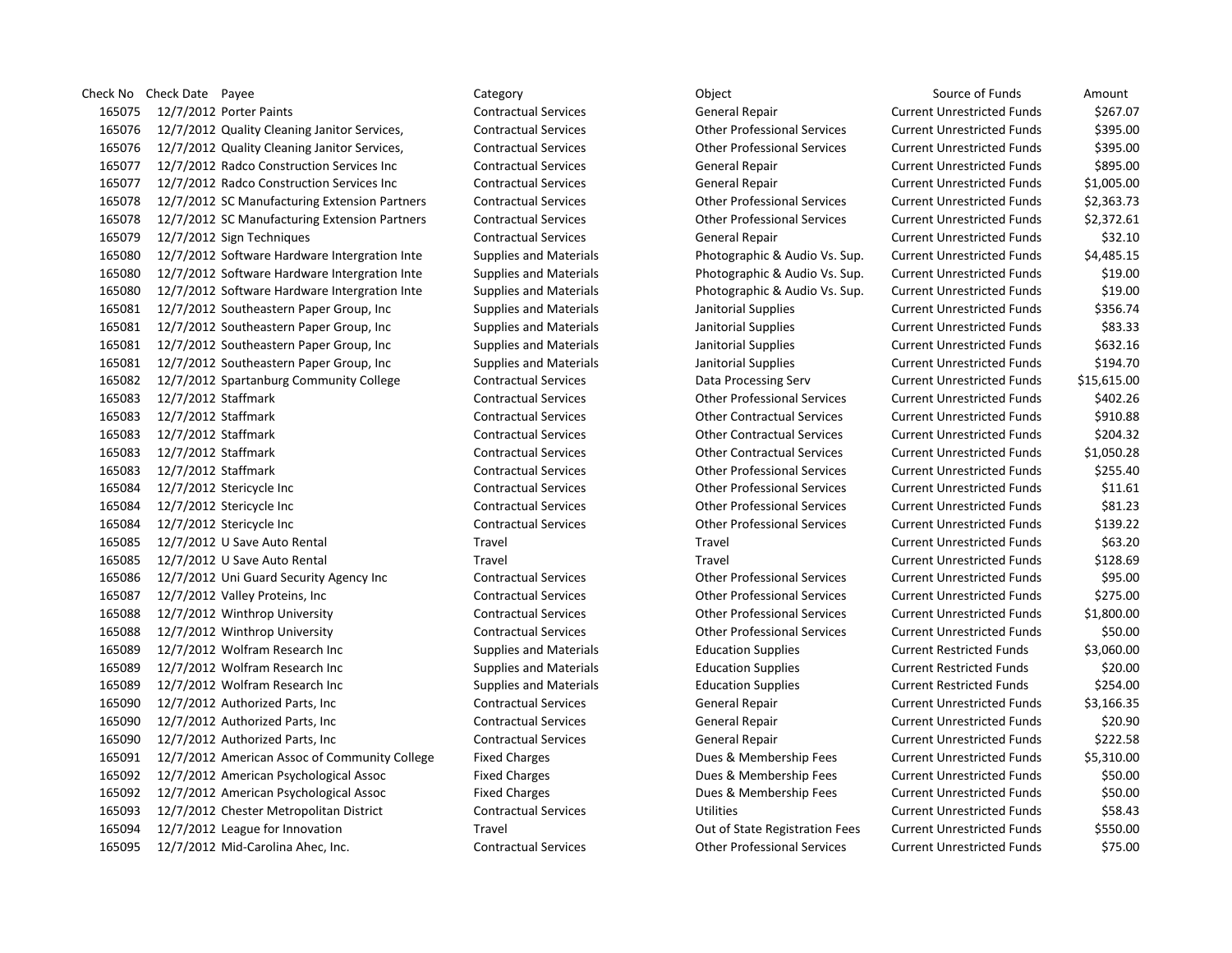Check No Check Date Payee **Category** Category Category Category Object Check No Check Date of Funds Amount 12/7/2012 Porter Paints Contractual Services General Repair Current Unrestricted Funds \$267.07 12/7/2012 Quality Cleaning Janitor Services, Contractual Services Other Professional Services Current Unrestricted Funds \$395.00 12/7/2012 Quality Cleaning Janitor Services, Contractual Services Other Professional Services Current Unrestricted Funds \$395.00 12/7/2012 Radco Construction Services Inc Contractual Services General Repair Current Unrestricted Funds \$895.00 12/7/2012 Radco Construction Services Inc Contractual Services General Repair Current Unrestricted Funds \$1,005.00 12/7/2012 SC Manufacturing Extension Partners Contractual Services Other Professional Services Current Unrestricted Funds \$2,363.73 12/7/2012 SC Manufacturing Extension Partners Contractual Services Other Professional Services Current Unrestricted Funds \$2,372.61 12/7/2012 Sign Techniques Contractual Services General Repair Current Unrestricted Funds \$32.10 12/7/2012 Software Hardware Intergration Inte Supplies and Materials Photographic & Audio Vs. Sup. Current Unrestricted Funds \$4,485.15 12/7/2012 Software Hardware Intergration Inte Supplies and Materials Photographic & Audio Vs. Sup. Current Unrestricted Funds \$19.00 12/7/2012 Software Hardware Intergration Inte Supplies and Materials Photographic & Audio Vs. Sup. Current Unrestricted Funds \$19.00 165081 12/7/2012 Southeastern Paper Group, Inc Supplies and Materials Janitorial Supplies Current Unrestricted Funds \$356.74 12/7/2012 Southeastern Paper Group, Inc Supplies and Materials Janitorial Supplies Current Unrestricted Funds \$83.33 12/7/2012 Southeastern Paper Group, Inc Supplies and Materials Janitorial Supplies Current Unrestricted Funds \$632.16 12/7/2012 Southeastern Paper Group, Inc Supplies and Materials Janitorial Supplies Current Unrestricted Funds \$194.70 12/7/2012 Spartanburg Community College Contractual Services Data Processing Serv Current Unrestricted Funds \$15,615.00 12/7/2012 Staffmark Contractual Services Other Professional Services Current Unrestricted Funds \$402.26 12/7/2012 Staffmark Contractual Services Other Contractual Services Current Unrestricted Funds \$910.88 12/7/2012 Staffmark Contractual Services Other Contractual Services Current Unrestricted Funds \$204.32 12/7/2012 Staffmark Contractual Services Other Contractual Services Current Unrestricted Funds \$1,050.28 12/7/2012 Staffmark Contractual Services Other Professional Services Current Unrestricted Funds \$255.40 12/7/2012 Stericycle Inc Contractual Services Other Professional Services Current Unrestricted Funds \$11.61 12/7/2012 Stericycle Inc Contractual Services Other Professional Services Current Unrestricted Funds \$81.23 12/7/2012 Stericycle Inc Contractual Services Other Professional Services Current Unrestricted Funds \$139.22 12/7/2012 U Save Auto Rental Travel Travel Current Unrestricted Funds \$63.20 12/7/2012 U Save Auto Rental Travel Travel Current Unrestricted Funds \$128.69 12/7/2012 Uni Guard Security Agency Inc Contractual Services Other Professional Services Current Unrestricted Funds \$95.00 12/7/2012 Valley Proteins, Inc Contractual Services Other Professional Services Current Unrestricted Funds \$275.00 12/7/2012 Winthrop University Contractual Services Other Professional Services Current Unrestricted Funds \$1,800.00 12/7/2012 Winthrop University Contractual Services Other Professional Services Current Unrestricted Funds \$50.00 12/7/2012 Wolfram Research Inc Supplies and Materials Education Supplies Current Restricted Funds \$3,060.00 12/7/2012 Wolfram Research Inc Supplies and Materials Education Supplies Current Restricted Funds \$20.00 12/7/2012 Wolfram Research Inc Supplies and Materials Education Supplies Current Restricted Funds \$254.00 12/7/2012 Authorized Parts, Inc Contractual Services General Repair Current Unrestricted Funds \$3,166.35 12/7/2012 Authorized Parts, Inc Contractual Services General Repair Current Unrestricted Funds \$20.90 12/7/2012 Authorized Parts, Inc Contractual Services General Repair Current Unrestricted Funds \$222.58 12/7/2012 American Assoc of Community College Fixed Charges Dues & Membership Fees Current Unrestricted Funds \$5,310.00 12/7/2012 American Psychological Assoc Fixed Charges Dues & Membership Fees Current Unrestricted Funds \$50.00 12/7/2012 American Psychological Assoc Fixed Charges Dues & Membership Fees Current Unrestricted Funds \$50.00 12/7/2012 Chester Metropolitan District Contractual Services Utilities Current Unrestricted Funds \$58.43 12/7/2012 League for Innovation Travel Out of State Registration Fees Current Unrestricted Funds \$550.00 12/7/2012 Mid-Carolina Ahec, Inc. Contractual Services Other Professional Services Current Unrestricted Funds \$75.00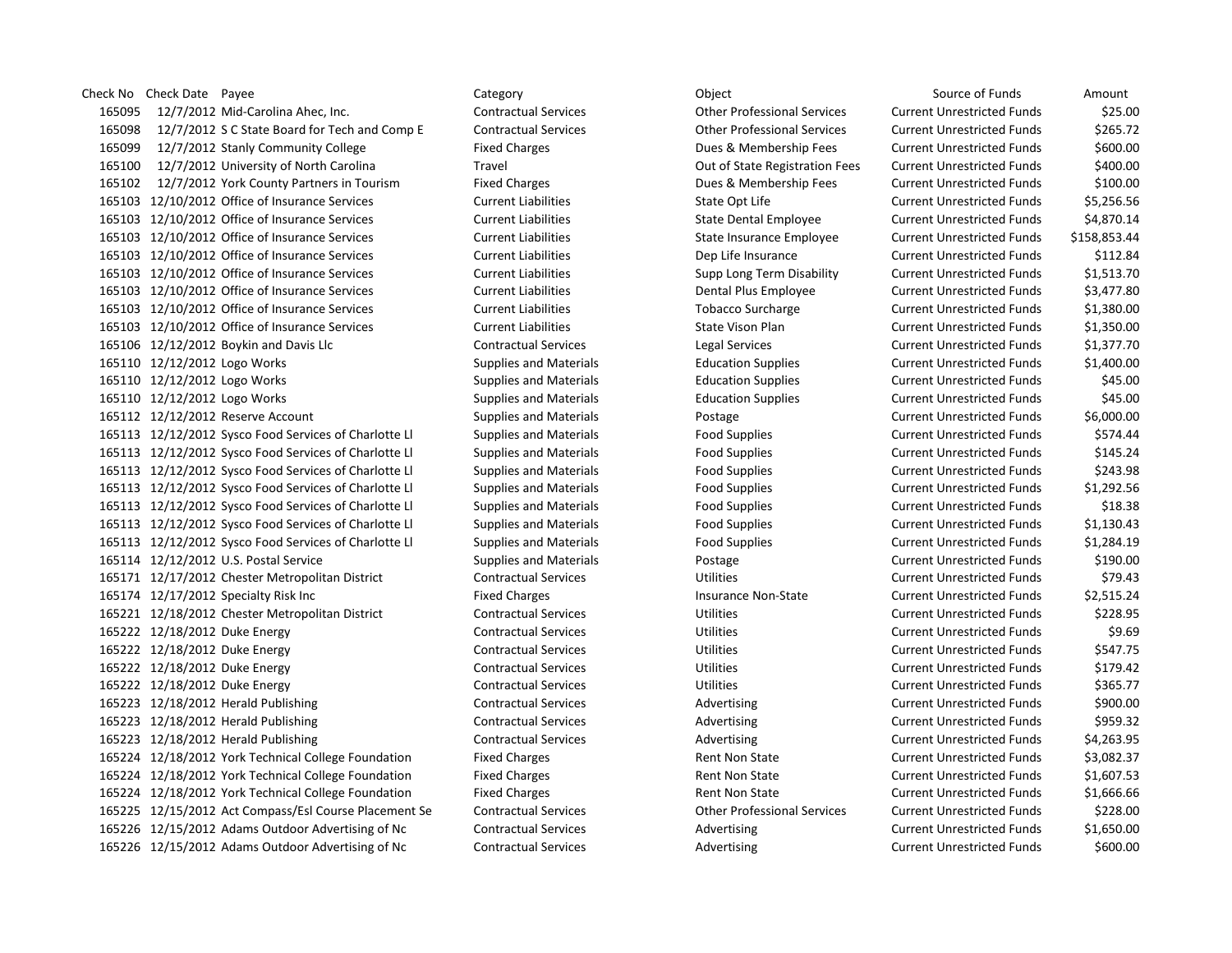Check No Check Date Payee **Category** Category Category Category Object Check No Check Date of Funds Amount 12/7/2012 Mid-Carolina Ahec, Inc. Contractual Services Other Professional Services Current Unrestricted Funds \$25.00 12/7/2012 S C State Board for Tech and Comp E Contractual Services Other Professional Services Current Unrestricted Funds \$265.72 12/7/2012 Stanly Community College Fixed Charges Dues & Membership Fees Current Unrestricted Funds \$600.00 12/7/2012 University of North Carolina Travel Out of State Registration Fees Current Unrestricted Funds \$400.00 12/7/2012 York County Partners in Tourism Fixed Charges Dues & Membership Fees Current Unrestricted Funds \$100.00 12/10/2012 Office of Insurance Services Current Liabilities State Opt Life Current Unrestricted Funds \$5,256.56 12/10/2012 Office of Insurance Services Current Liabilities State Dental Employee Current Unrestricted Funds \$4,870.14 12/10/2012 Office of Insurance Services Current Liabilities State Insurance Employee Current Unrestricted Funds \$158,853.44 12/10/2012 Office of Insurance Services Current Liabilities Dep Life Insurance Current Unrestricted Funds \$112.84 12/10/2012 Office of Insurance Services Current Liabilities Supp Long Term Disability Current Unrestricted Funds \$1,513.70 12/10/2012 Office of Insurance Services Current Liabilities Dental Plus Employee Current Unrestricted Funds \$3,477.80 12/10/2012 Office of Insurance Services Current Liabilities Tobacco Surcharge Current Unrestricted Funds \$1,380.00 12/10/2012 Office of Insurance Services Current Liabilities State Vison Plan Current Unrestricted Funds \$1,350.00 12/12/2012 Boykin and Davis Llc Contractual Services Legal Services Current Unrestricted Funds \$1,377.70 12/12/2012 Logo Works Supplies and Materials Education Supplies Current Unrestricted Funds \$1,400.00 12/12/2012 Logo Works Supplies and Materials Education Supplies Current Unrestricted Funds \$45.00 12/12/2012 Logo Works Supplies and Materials Education Supplies Current Unrestricted Funds \$45.00 12/12/2012 Reserve Account Supplies and Materials Postage Current Unrestricted Funds \$6,000.00 12/12/2012 Sysco Food Services of Charlotte Ll Supplies and Materials Food Supplies Current Unrestricted Funds \$574.44 12/12/2012 Sysco Food Services of Charlotte Ll Supplies and Materials Food Supplies Current Unrestricted Funds \$145.24 12/12/2012 Sysco Food Services of Charlotte Ll Supplies and Materials Food Supplies Current Unrestricted Funds \$243.98 12/12/2012 Sysco Food Services of Charlotte Ll Supplies and Materials Food Supplies Current Unrestricted Funds \$1,292.56 12/12/2012 Sysco Food Services of Charlotte Ll Supplies and Materials Food Supplies Current Unrestricted Funds \$18.38 12/12/2012 Sysco Food Services of Charlotte Ll Supplies and Materials Food Supplies Current Unrestricted Funds \$1,130.43 12/12/2012 Sysco Food Services of Charlotte Ll Supplies and Materials Food Supplies Current Unrestricted Funds \$1,284.19 12/12/2012 U.S. Postal Service Supplies and Materials Postage Current Unrestricted Funds \$190.00 12/17/2012 Chester Metropolitan District Contractual Services Utilities Current Unrestricted Funds \$79.43 12/17/2012 Specialty Risk Inc Fixed Charges Insurance Non-State Current Unrestricted Funds \$2,515.24 12/18/2012 Chester Metropolitan District Contractual Services Utilities Current Unrestricted Funds \$228.95 12/18/2012 Duke Energy Contractual Services Utilities Current Unrestricted Funds \$9.69 12/18/2012 Duke Energy Contractual Services Utilities Current Unrestricted Funds \$547.75 12/18/2012 Duke Energy Contractual Services Utilities Current Unrestricted Funds \$179.42 12/18/2012 Duke Energy Contractual Services Utilities Current Unrestricted Funds \$365.77 12/18/2012 Herald Publishing Contractual Services Advertising Current Unrestricted Funds \$900.00 12/18/2012 Herald Publishing Contractual Services Advertising Current Unrestricted Funds \$959.32 165223 12/18/2012 Herald Publishing Contractual Services Advertising Current Unrestricted Funds \$4,263.95 12/18/2012 York Technical College Foundation Fixed Charges Rent Non State Current Unrestricted Funds \$3,082.37 12/18/2012 York Technical College Foundation Fixed Charges Rent Non State Current Unrestricted Funds \$1,607.53 12/18/2012 York Technical College Foundation Fixed Charges Rent Non State Current Unrestricted Funds \$1,666.66 12/15/2012 Act Compass/Esl Course Placement Se Contractual Services Other Professional Services Current Unrestricted Funds \$228.00 12/15/2012 Adams Outdoor Advertising of Nc Contractual Services Advertising Current Unrestricted Funds \$1,650.00 12/15/2012 Adams Outdoor Advertising of Nc Contractual Services Advertising Current Unrestricted Funds \$600.00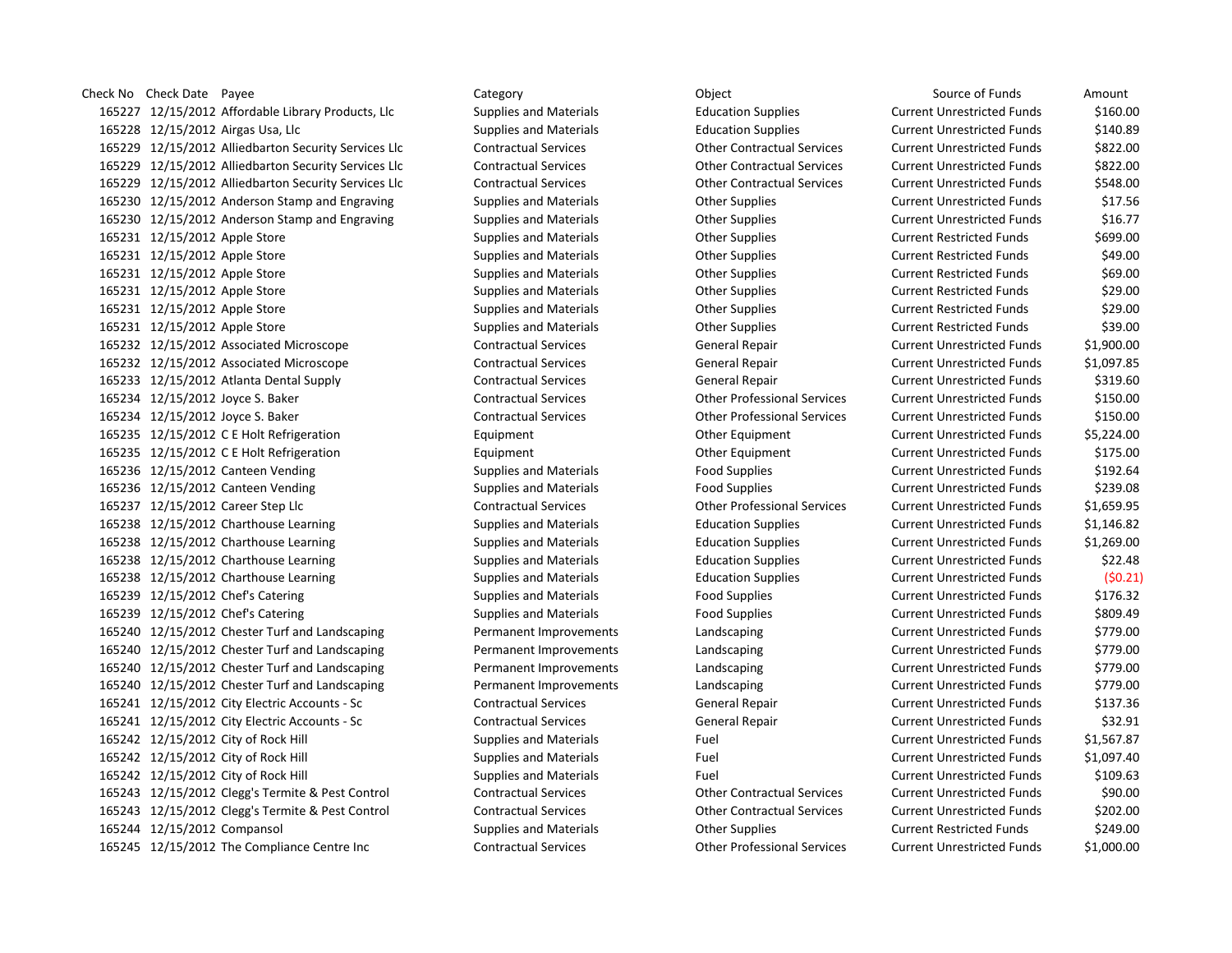Check No Check Date Payee **Category** Category Category Category Object Check No Check Date of Funds Amount 12/15/2012 Affordable Library Products, Llc Supplies and Materials Education Supplies Current Unrestricted Funds \$160.00 12/15/2012 Airgas Usa, Llc Supplies and Materials Education Supplies Current Unrestricted Funds \$140.89 12/15/2012 Alliedbarton Security Services Llc Contractual Services Other Contractual Services Current Unrestricted Funds \$822.00 12/15/2012 Alliedbarton Security Services Llc Contractual Services Other Contractual Services Current Unrestricted Funds \$822.00 12/15/2012 Alliedbarton Security Services Llc Contractual Services Other Contractual Services Current Unrestricted Funds \$548.00 165230 12/15/2012 Anderson Stamp and Engraving Supplies and Materials Other Supplies Current Unrestricted Funds \$17.56 165230 12/15/2012 Anderson Stamp and Engraving Supplies and Materials Other Supplies Current Unrestricted Funds \$16.77 12/15/2012 Apple Store Supplies and Materials Other Supplies Current Restricted Funds \$699.00 12/15/2012 Apple Store Supplies and Materials Other Supplies Current Restricted Funds \$49.00 12/15/2012 Apple Store Supplies and Materials Other Supplies Current Restricted Funds \$69.00 12/15/2012 Apple Store Supplies and Materials Other Supplies Current Restricted Funds \$29.00 12/15/2012 Apple Store Supplies and Materials Other Supplies Current Restricted Funds \$29.00 12/15/2012 Apple Store Supplies and Materials Other Supplies Current Restricted Funds \$39.00 12/15/2012 Associated Microscope Contractual Services General Repair Current Unrestricted Funds \$1,900.00 12/15/2012 Associated Microscope Contractual Services General Repair Current Unrestricted Funds \$1,097.85 12/15/2012 Atlanta Dental Supply Contractual Services General Repair Current Unrestricted Funds \$319.60 12/15/2012 Joyce S. Baker Contractual Services Other Professional Services Current Unrestricted Funds \$150.00 12/15/2012 Joyce S. Baker Contractual Services Other Professional Services Current Unrestricted Funds \$150.00 12/15/2012 C E Holt Refrigeration Equipment Other Equipment Current Unrestricted Funds \$5,224.00 12/15/2012 C E Holt Refrigeration Equipment Other Equipment Current Unrestricted Funds \$175.00 12/15/2012 Canteen Vending Supplies and Materials Food Supplies Current Unrestricted Funds \$192.64 12/15/2012 Canteen Vending Supplies and Materials Food Supplies Current Unrestricted Funds \$239.08 12/15/2012 Career Step Llc Contractual Services Other Professional Services Current Unrestricted Funds \$1,659.95 12/15/2012 Charthouse Learning Supplies and Materials Education Supplies Current Unrestricted Funds \$1,146.82 12/15/2012 Charthouse Learning Supplies and Materials Education Supplies Current Unrestricted Funds \$1,269.00 12/15/2012 Charthouse Learning Supplies and Materials Education Supplies Current Unrestricted Funds \$22.48 12/15/2012 Charthouse Learning Supplies and Materials Education Supplies Current Unrestricted Funds (\$0.21) 12/15/2012 Chef's Catering Supplies and Materials Food Supplies Current Unrestricted Funds \$176.32 165239 12/15/2012 Chef's Catering The Supplies and Materials Food Supplies Current Unrestricted Funds \$809.49 12/15/2012 Chester Turf and Landscaping Permanent Improvements Landscaping Current Unrestricted Funds \$779.00 12/15/2012 Chester Turf and Landscaping Permanent Improvements Landscaping Current Unrestricted Funds \$779.00 12/15/2012 Chester Turf and Landscaping Permanent Improvements Landscaping Current Unrestricted Funds \$779.00 12/15/2012 Chester Turf and Landscaping Permanent Improvements Landscaping Current Unrestricted Funds \$779.00 12/15/2012 City Electric Accounts - Sc Contractual Services General Repair Current Unrestricted Funds \$137.36 12/15/2012 City Electric Accounts - Sc Contractual Services General Repair Current Unrestricted Funds \$32.91 12/15/2012 City of Rock Hill Supplies and Materials Fuel Current Unrestricted Funds \$1,567.87 12/15/2012 City of Rock Hill Supplies and Materials Fuel Current Unrestricted Funds \$1,097.40 165242 12/15/2012 City of Rock Hill Supplies and Materials Fuel Fuel Current Unrestricted Funds \$109.63 12/15/2012 Clegg's Termite & Pest Control Contractual Services Other Contractual Services Current Unrestricted Funds \$90.00 12/15/2012 Clegg's Termite & Pest Control Contractual Services Other Contractual Services Current Unrestricted Funds \$202.00 12/15/2012 Compansol Supplies and Materials Other Supplies Current Restricted Funds \$249.00 12/15/2012 The Compliance Centre Inc Contractual Services Other Professional Services Current Unrestricted Funds \$1,000.00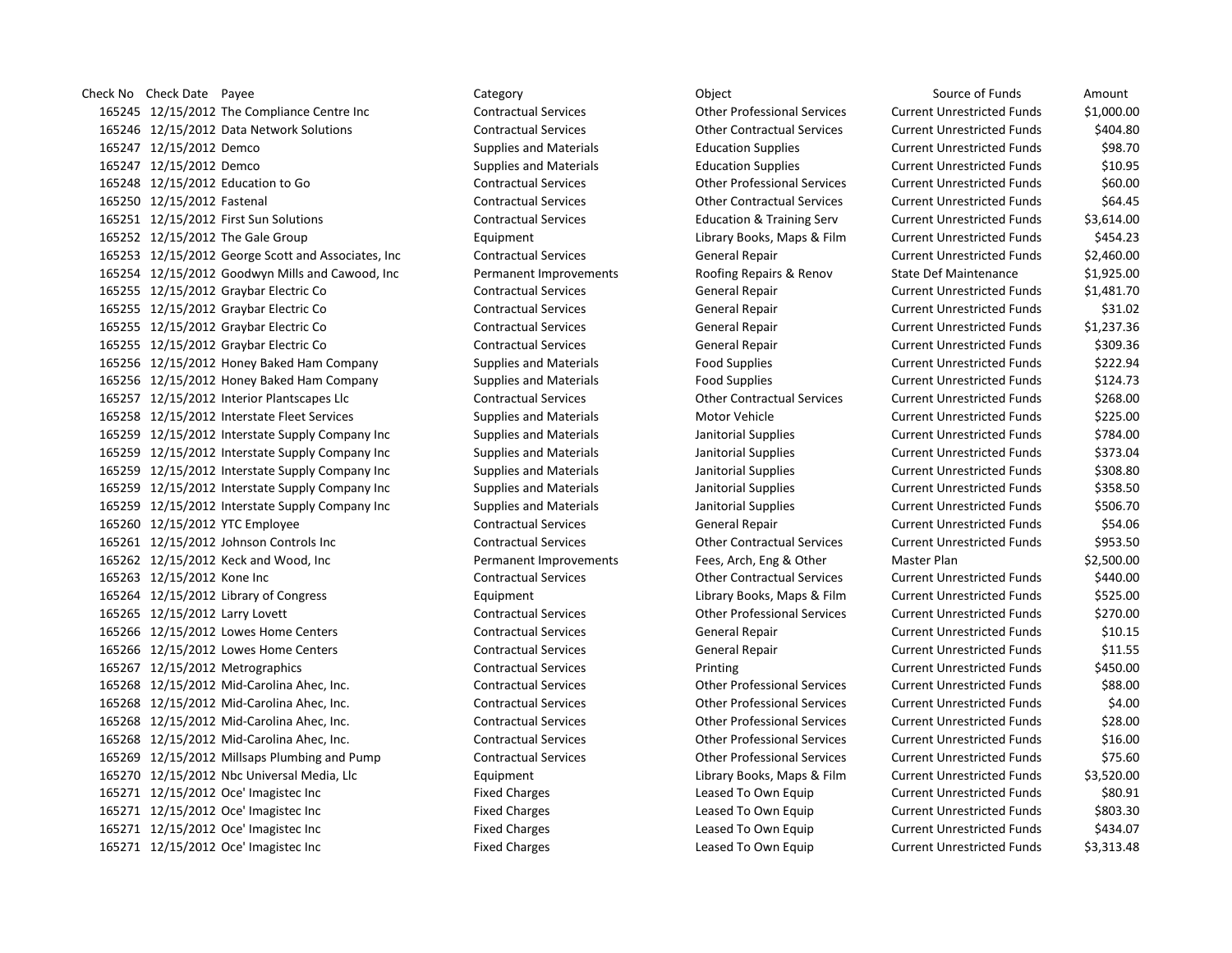Check No Check Date Payee **Category** Category Category Category Object Check No Check Date of Funds Amount 12/15/2012 The Compliance Centre Inc Contractual Services Other Professional Services Current Unrestricted Funds \$1,000.00 12/15/2012 Data Network Solutions Contractual Services Other Contractual Services Current Unrestricted Funds \$404.80 12/15/2012 Demco Supplies and Materials Education Supplies Current Unrestricted Funds \$98.70 12/15/2012 Demco Supplies and Materials Education Supplies Current Unrestricted Funds \$10.95 12/15/2012 Education to Go Contractual Services Other Professional Services Current Unrestricted Funds \$60.00 12/15/2012 Fastenal Contractual Services Other Contractual Services Current Unrestricted Funds \$64.45 12/15/2012 First Sun Solutions Contractual Services Education & Training Serv Current Unrestricted Funds \$3,614.00 12/15/2012 The Gale Group Equipment Library Books, Maps & Film Current Unrestricted Funds \$454.23 12/15/2012 George Scott and Associates, Inc Contractual Services General Repair Current Unrestricted Funds \$2,460.00 12/15/2012 Goodwyn Mills and Cawood, Inc Permanent Improvements Roofing Repairs & Renov State Def Maintenance \$1,925.00 12/15/2012 Graybar Electric Co Contractual Services General Repair Current Unrestricted Funds \$1,481.70 12/15/2012 Graybar Electric Co Contractual Services General Repair Current Unrestricted Funds \$31.02 12/15/2012 Graybar Electric Co Contractual Services General Repair Current Unrestricted Funds \$1,237.36 12/15/2012 Graybar Electric Co Contractual Services General Repair Current Unrestricted Funds \$309.36 12/15/2012 Honey Baked Ham Company Supplies and Materials Food Supplies Current Unrestricted Funds \$222.94 12/15/2012 Honey Baked Ham Company Supplies and Materials Food Supplies Current Unrestricted Funds \$124.73 12/15/2012 Interior Plantscapes Llc Contractual Services Other Contractual Services Current Unrestricted Funds \$268.00 165258 12/15/2012 Interstate Fleet Services Supplies and Materials Motor Vehicle Current Unrestricted Funds \$225.00 12/15/2012 Interstate Supply Company Inc Supplies and Materials Janitorial Supplies Current Unrestricted Funds \$784.00 12/15/2012 Interstate Supply Company Inc Supplies and Materials Janitorial Supplies Current Unrestricted Funds \$373.04 12/15/2012 Interstate Supply Company Inc Supplies and Materials Janitorial Supplies Current Unrestricted Funds \$308.80 12/15/2012 Interstate Supply Company Inc Supplies and Materials Janitorial Supplies Current Unrestricted Funds \$358.50 165259 12/15/2012 Interstate Supply Company Inc Supplies and Materials Janitorial Supplies Current Unrestricted Funds \$506.70 12/15/2012 YTC Employee Contractual Services General Repair Current Unrestricted Funds \$54.06 12/15/2012 Johnson Controls Inc Contractual Services Other Contractual Services Current Unrestricted Funds \$953.50 12/15/2012 Keck and Wood, Inc Permanent Improvements Fees, Arch, Eng & Other Master Plan \$2,500.00 12/15/2012 Kone Inc Contractual Services Other Contractual Services Current Unrestricted Funds \$440.00 12/15/2012 Library of Congress Equipment Library Books, Maps & Film Current Unrestricted Funds \$525.00 12/15/2012 Larry Lovett Contractual Services Other Professional Services Current Unrestricted Funds \$270.00 12/15/2012 Lowes Home Centers Contractual Services General Repair Current Unrestricted Funds \$10.15 12/15/2012 Lowes Home Centers Contractual Services General Repair Current Unrestricted Funds \$11.55 12/15/2012 Metrographics Contractual Services Printing Current Unrestricted Funds \$450.00 12/15/2012 Mid-Carolina Ahec, Inc. Contractual Services Other Professional Services Current Unrestricted Funds \$88.00 12/15/2012 Mid-Carolina Ahec, Inc. Contractual Services Other Professional Services Current Unrestricted Funds \$4.00 12/15/2012 Mid-Carolina Ahec, Inc. Contractual Services Other Professional Services Current Unrestricted Funds \$28.00 12/15/2012 Mid-Carolina Ahec, Inc. Contractual Services Other Professional Services Current Unrestricted Funds \$16.00 12/15/2012 Millsaps Plumbing and Pump Contractual Services Other Professional Services Current Unrestricted Funds \$75.60 12/15/2012 Nbc Universal Media, Llc Equipment Library Books, Maps & Film Current Unrestricted Funds \$3,520.00 12/15/2012 Oce' Imagistec Inc Fixed Charges Leased To Own Equip Current Unrestricted Funds \$80.91 12/15/2012 Oce' Imagistec Inc Fixed Charges Leased To Own Equip Current Unrestricted Funds \$803.30 12/15/2012 Oce' Imagistec Inc Fixed Charges Leased To Own Equip Current Unrestricted Funds \$434.07 12/15/2012 Oce' Imagistec Inc Fixed Charges Leased To Own Equip Current Unrestricted Funds \$3,313.48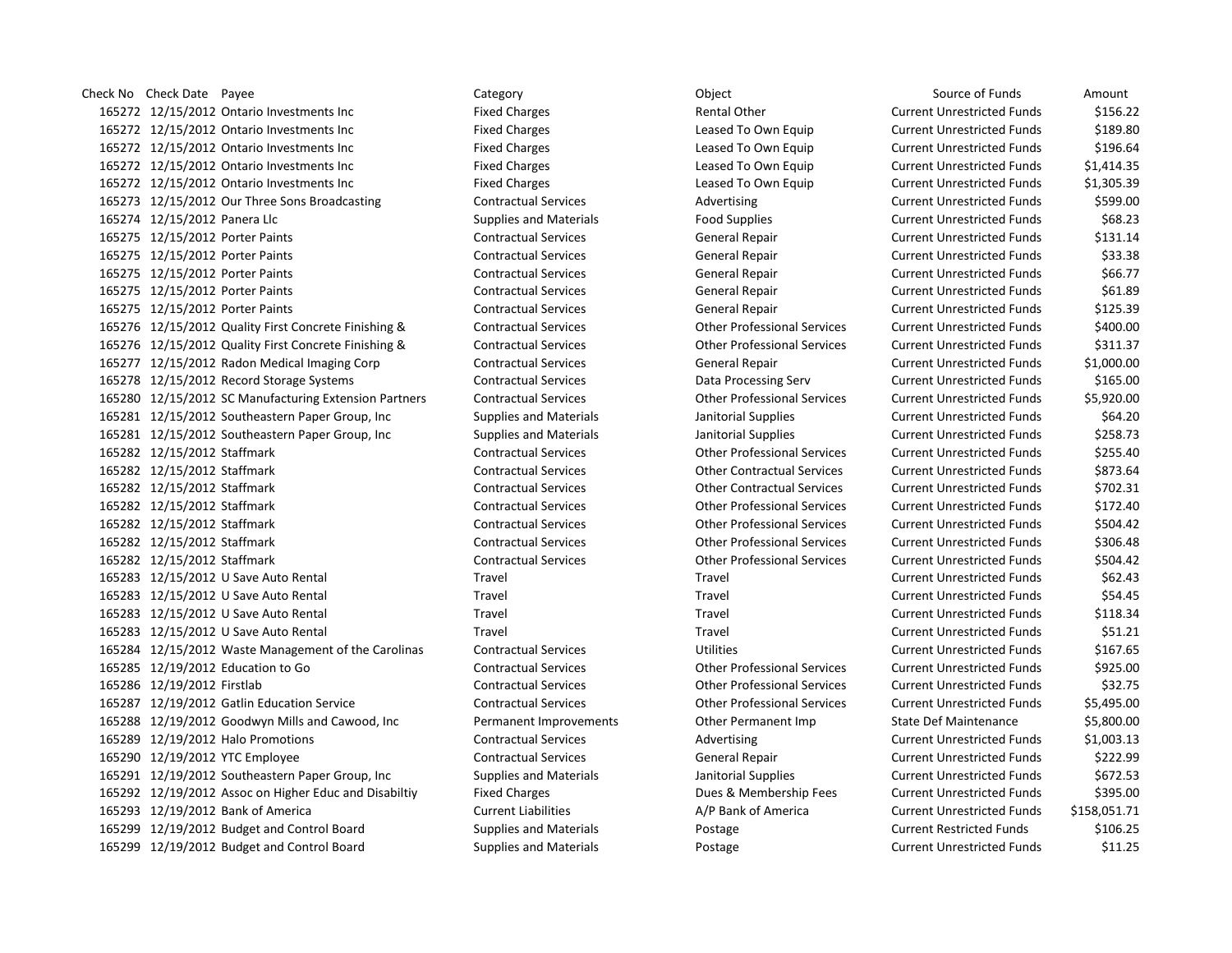Check No Check Date Payee **Category** Category Category Category Object Check No Check Date of Funds Amount 12/15/2012 Ontario Investments Inc Fixed Charges Rental Other Current Unrestricted Funds \$156.22 12/15/2012 Ontario Investments Inc Fixed Charges Leased To Own Equip Current Unrestricted Funds \$189.80 12/15/2012 Ontario Investments Inc Fixed Charges Leased To Own Equip Current Unrestricted Funds \$196.64 12/15/2012 Ontario Investments Inc Fixed Charges Leased To Own Equip Current Unrestricted Funds \$1,414.35 12/15/2012 Ontario Investments Inc Fixed Charges Leased To Own Equip Current Unrestricted Funds \$1,305.39 165273 12/15/2012 Our Three Sons Broadcasting Contractual Services Advertising Current Unrestricted Funds \$599.00 165274 12/15/2012 Panera Llc Supplies and Materials Food Supplies Food Supplies Current Unrestricted Funds \$68.23 12/15/2012 Porter Paints Contractual Services General Repair Current Unrestricted Funds \$131.14 12/15/2012 Porter Paints Contractual Services General Repair Current Unrestricted Funds \$33.38 12/15/2012 Porter Paints Contractual Services General Repair Current Unrestricted Funds \$66.77 12/15/2012 Porter Paints Contractual Services General Repair Current Unrestricted Funds \$61.89 12/15/2012 Porter Paints Contractual Services General Repair Current Unrestricted Funds \$125.39 12/15/2012 Quality First Concrete Finishing & Contractual Services Other Professional Services Current Unrestricted Funds \$400.00 12/15/2012 Quality First Concrete Finishing & Contractual Services Other Professional Services Current Unrestricted Funds \$311.37 12/15/2012 Radon Medical Imaging Corp Contractual Services General Repair Current Unrestricted Funds \$1,000.00 12/15/2012 Record Storage Systems Contractual Services Data Processing Serv Current Unrestricted Funds \$165.00 12/15/2012 SC Manufacturing Extension Partners Contractual Services Other Professional Services Current Unrestricted Funds \$5,920.00 12/15/2012 Southeastern Paper Group, Inc Supplies and Materials Janitorial Supplies Current Unrestricted Funds \$64.20 12/15/2012 Southeastern Paper Group, Inc Supplies and Materials Janitorial Supplies Current Unrestricted Funds \$258.73 12/15/2012 Staffmark Contractual Services Other Professional Services Current Unrestricted Funds \$255.40 12/15/2012 Staffmark Contractual Services Other Contractual Services Current Unrestricted Funds \$873.64 12/15/2012 Staffmark Contractual Services Other Contractual Services Current Unrestricted Funds \$702.31 12/15/2012 Staffmark Contractual Services Other Professional Services Current Unrestricted Funds \$172.40 12/15/2012 Staffmark Contractual Services Other Professional Services Current Unrestricted Funds \$504.42 12/15/2012 Staffmark Contractual Services Other Professional Services Current Unrestricted Funds \$306.48 12/15/2012 Staffmark Contractual Services Other Professional Services Current Unrestricted Funds \$504.42 12/15/2012 U Save Auto Rental Travel Travel Current Unrestricted Funds \$62.43 12/15/2012 U Save Auto Rental Travel Travel Current Unrestricted Funds \$54.45 12/15/2012 U Save Auto Rental Travel Travel Current Unrestricted Funds \$118.34 12/15/2012 U Save Auto Rental Travel Travel Current Unrestricted Funds \$51.21 12/15/2012 Waste Management of the Carolinas Contractual Services Utilities Current Unrestricted Funds \$167.65 12/19/2012 Education to Go Contractual Services Other Professional Services Current Unrestricted Funds \$925.00 12/19/2012 Firstlab Contractual Services Other Professional Services Current Unrestricted Funds \$32.75 12/19/2012 Gatlin Education Service Contractual Services Other Professional Services Current Unrestricted Funds \$5,495.00 12/19/2012 Goodwyn Mills and Cawood, Inc Permanent Improvements Other Permanent Imp State Def Maintenance \$5,800.00 12/19/2012 Halo Promotions Contractual Services Advertising Current Unrestricted Funds \$1,003.13 12/19/2012 YTC Employee Contractual Services General Repair Current Unrestricted Funds \$222.99 12/19/2012 Southeastern Paper Group, Inc Supplies and Materials Janitorial Supplies Current Unrestricted Funds \$672.53 12/19/2012 Assoc on Higher Educ and Disabiltiy Fixed Charges Dues & Membership Fees Current Unrestricted Funds \$395.00 12/19/2012 Bank of America Current Liabilities A/P Bank of America Current Unrestricted Funds \$158,051.71 12/19/2012 Budget and Control Board Supplies and Materials Postage Current Restricted Funds \$106.25 12/19/2012 Budget and Control Board Supplies and Materials Postage Current Unrestricted Funds \$11.25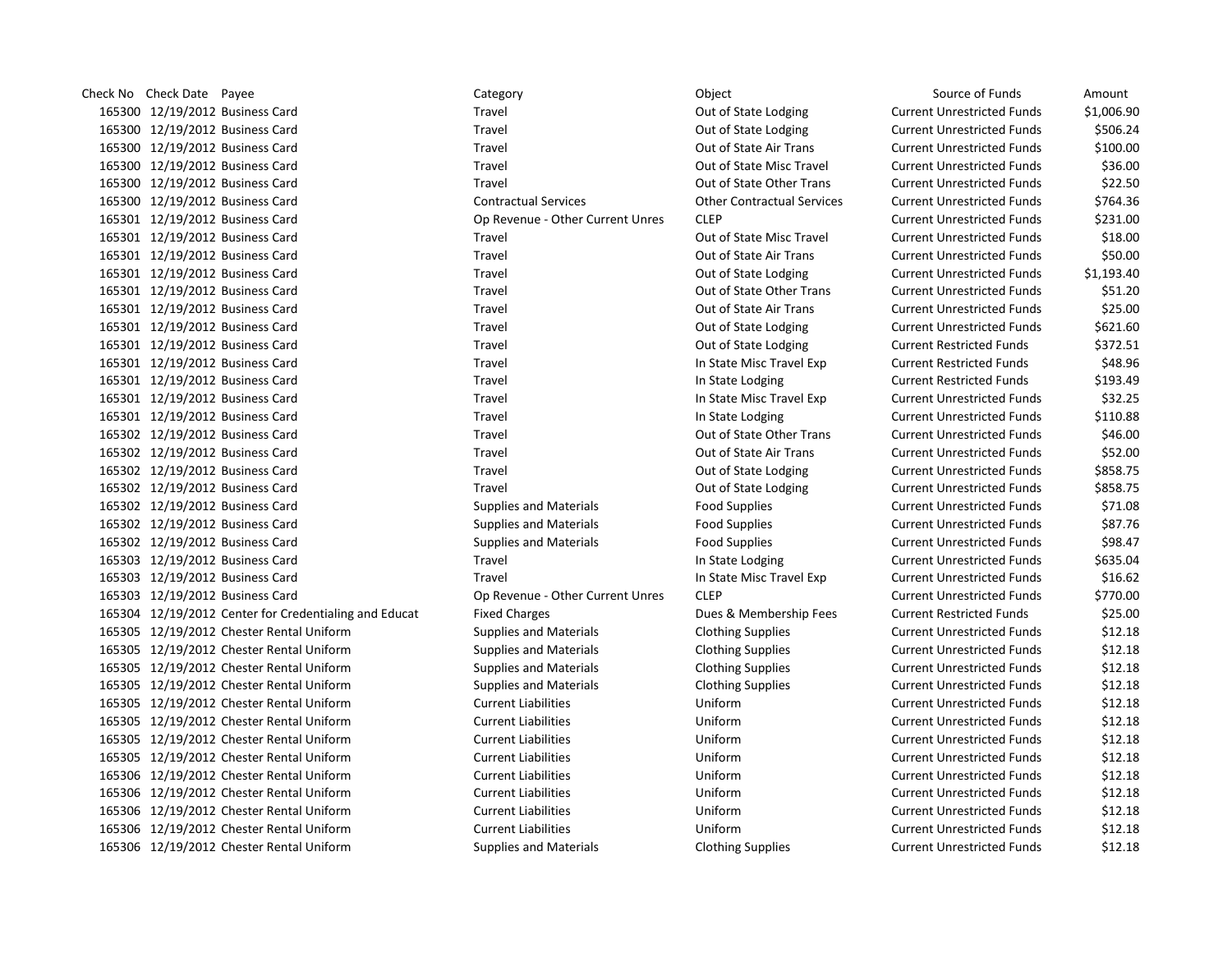Check No Check Date Payee **Category** Category Category Category Object Check No Check Date of Funds Amount 12/19/2012 Business Card Travel Out of State Lodging Current Unrestricted Funds \$1,006.90 165300 12/19/2012 Business Card Travel Travel Travel Out of State Lodging Current Unrestricted Funds \$506.24 12/19/2012 Business Card Travel Out of State Air Trans Current Unrestricted Funds \$100.00 12/19/2012 Business Card Travel Out of State Misc Travel Current Unrestricted Funds \$36.00 12/19/2012 Business Card Travel Out of State Other Trans Current Unrestricted Funds \$22.50 12/19/2012 Business Card Contractual Services Other Contractual Services Current Unrestricted Funds \$764.36 12/19/2012 Business Card Op Revenue - Other Current Unres CLEP Current Unrestricted Funds \$231.00 12/19/2012 Business Card Travel Out of State Misc Travel Current Unrestricted Funds \$18.00 12/19/2012 Business Card Travel Out of State Air Trans Current Unrestricted Funds \$50.00 12/19/2012 Business Card Travel Out of State Lodging Current Unrestricted Funds \$1,193.40 12/19/2012 Business Card Travel Out of State Other Trans Current Unrestricted Funds \$51.20 12/19/2012 Business Card Travel Out of State Air Trans Current Unrestricted Funds \$25.00 12/19/2012 Business Card Travel Out of State Lodging Current Unrestricted Funds \$621.60 12/19/2012 Business Card Travel Out of State Lodging Current Restricted Funds \$372.51 12/19/2012 Business Card Travel In State Misc Travel Exp Current Restricted Funds \$48.96 12/19/2012 Business Card Travel In State Lodging Current Restricted Funds \$193.49 12/19/2012 Business Card Travel In State Misc Travel Exp Current Unrestricted Funds \$32.25 12/19/2012 Business Card Travel In State Lodging Current Unrestricted Funds \$110.88 12/19/2012 Business Card Travel Out of State Other Trans Current Unrestricted Funds \$46.00 12/19/2012 Business Card Travel Out of State Air Trans Current Unrestricted Funds \$52.00 12/19/2012 Business Card Travel Out of State Lodging Current Unrestricted Funds \$858.75 12/19/2012 Business Card Travel Out of State Lodging Current Unrestricted Funds \$858.75 12/19/2012 Business Card Supplies and Materials Food Supplies Current Unrestricted Funds \$71.08 12/19/2012 Business Card Supplies and Materials Food Supplies Current Unrestricted Funds \$87.76 12/19/2012 Business Card Supplies and Materials Food Supplies Current Unrestricted Funds \$98.47 12/19/2012 Business Card Travel In State Lodging Current Unrestricted Funds \$635.04 12/19/2012 Business Card Travel In State Misc Travel Exp Current Unrestricted Funds \$16.62 12/19/2012 Business Card Op Revenue - Other Current Unres CLEP Current Unrestricted Funds \$770.00 12/19/2012 Center for Credentialing and Educat Fixed Charges Dues & Membership Fees Current Restricted Funds \$25.00 12/19/2012 Chester Rental Uniform Supplies and Materials Clothing Supplies Current Unrestricted Funds \$12.18 12/19/2012 Chester Rental Uniform Supplies and Materials Clothing Supplies Current Unrestricted Funds \$12.18 12/19/2012 Chester Rental Uniform Supplies and Materials Clothing Supplies Current Unrestricted Funds \$12.18 12/19/2012 Chester Rental Uniform Supplies and Materials Clothing Supplies Current Unrestricted Funds \$12.18 12/19/2012 Chester Rental Uniform Current Liabilities Uniform Current Unrestricted Funds \$12.18 12/19/2012 Chester Rental Uniform Current Liabilities Uniform Current Unrestricted Funds \$12.18 12/19/2012 Chester Rental Uniform Current Liabilities Uniform Current Unrestricted Funds \$12.18 12/19/2012 Chester Rental Uniform Current Liabilities Uniform Current Unrestricted Funds \$12.18 12/19/2012 Chester Rental Uniform Current Liabilities Uniform Current Unrestricted Funds \$12.18 12/19/2012 Chester Rental Uniform Current Liabilities Uniform Current Unrestricted Funds \$12.18 12/19/2012 Chester Rental Uniform Current Liabilities Uniform Current Unrestricted Funds \$12.18 12/19/2012 Chester Rental Uniform Current Liabilities Uniform Current Unrestricted Funds \$12.18 12/19/2012 Chester Rental Uniform Supplies and Materials Clothing Supplies Current Unrestricted Funds \$12.18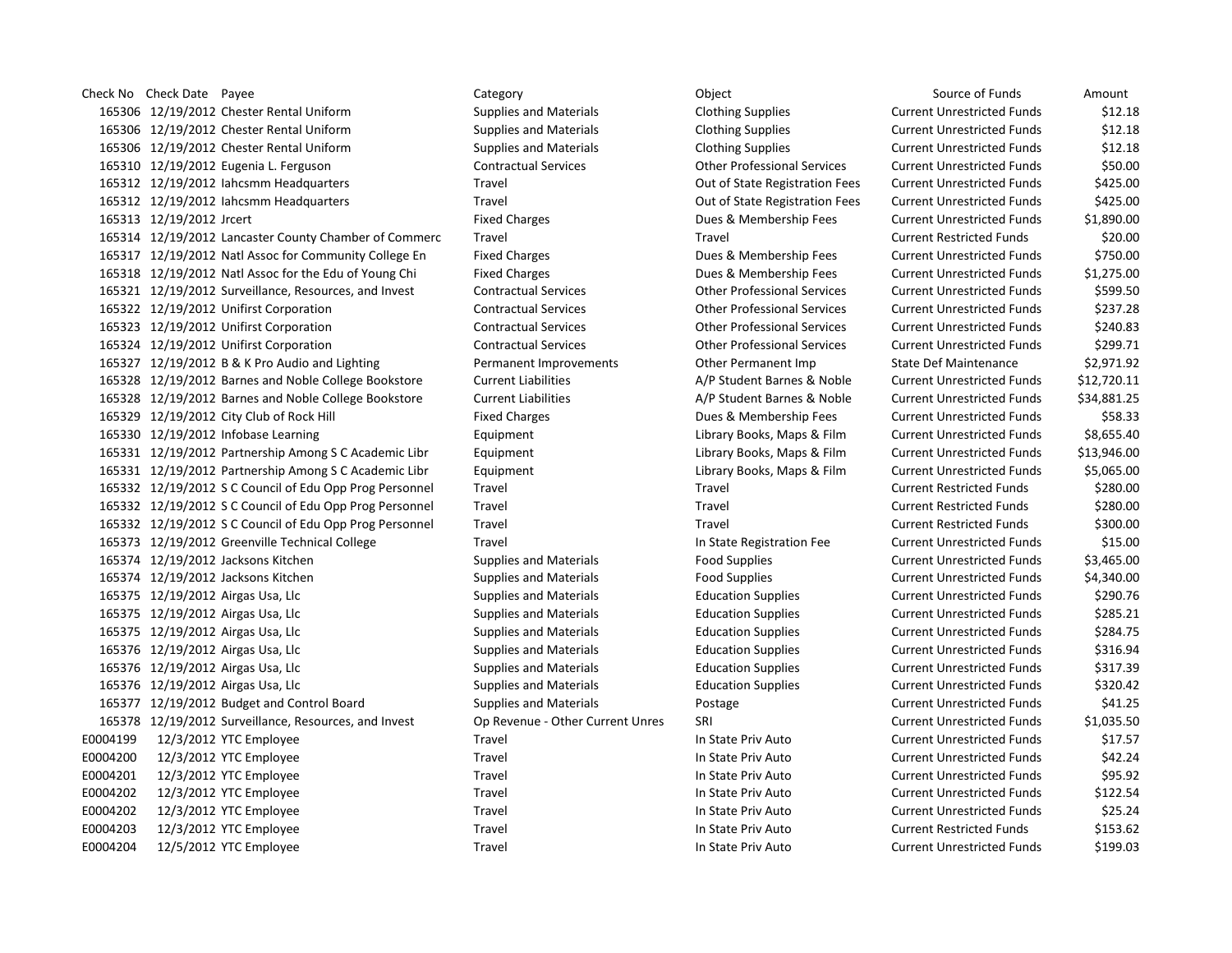Check No Check Date Payee **Category** Category Category Category Object Check No Check Date of Funds Amount 12/19/2012 Chester Rental Uniform Supplies and Materials Clothing Supplies Current Unrestricted Funds \$12.18 12/19/2012 Chester Rental Uniform Supplies and Materials Clothing Supplies Current Unrestricted Funds \$12.18 12/19/2012 Chester Rental Uniform Supplies and Materials Clothing Supplies Current Unrestricted Funds \$12.18 12/19/2012 Eugenia L. Ferguson Contractual Services Other Professional Services Current Unrestricted Funds \$50.00 12/19/2012 Iahcsmm Headquarters Travel Out of State Registration Fees Current Unrestricted Funds \$425.00 12/19/2012 Iahcsmm Headquarters Travel Out of State Registration Fees Current Unrestricted Funds \$425.00 12/19/2012 Jrcert Fixed Charges Dues & Membership Fees Current Unrestricted Funds \$1,890.00 12/19/2012 Lancaster County Chamber of Commerc Travel Travel Current Restricted Funds \$20.00 12/19/2012 Natl Assoc for Community College En Fixed Charges Dues & Membership Fees Current Unrestricted Funds \$750.00 12/19/2012 Natl Assoc for the Edu of Young Chi Fixed Charges Dues & Membership Fees Current Unrestricted Funds \$1,275.00 12/19/2012 Surveillance, Resources, and Invest Contractual Services Other Professional Services Current Unrestricted Funds \$599.50 12/19/2012 Unifirst Corporation Contractual Services Other Professional Services Current Unrestricted Funds \$237.28 12/19/2012 Unifirst Corporation Contractual Services Other Professional Services Current Unrestricted Funds \$240.83 12/19/2012 Unifirst Corporation Contractual Services Other Professional Services Current Unrestricted Funds \$299.71 12/19/2012 B & K Pro Audio and Lighting Permanent Improvements Other Permanent Imp State Def Maintenance \$2,971.92 12/19/2012 Barnes and Noble College Bookstore Current Liabilities A/P Student Barnes & Noble Current Unrestricted Funds \$12,720.11 12/19/2012 Barnes and Noble College Bookstore Current Liabilities A/P Student Barnes & Noble Current Unrestricted Funds \$34,881.25 12/19/2012 City Club of Rock Hill Fixed Charges Dues & Membership Fees Current Unrestricted Funds \$58.33 12/19/2012 Infobase Learning Equipment Library Books, Maps & Film Current Unrestricted Funds \$8,655.40 12/19/2012 Partnership Among S C Academic Libr Equipment Library Books, Maps & Film Current Unrestricted Funds \$13,946.00 12/19/2012 Partnership Among S C Academic Libr Equipment Library Books, Maps & Film Current Unrestricted Funds \$5,065.00 12/19/2012 S C Council of Edu Opp Prog Personnel Travel Travel Current Restricted Funds \$280.00 12/19/2012 S C Council of Edu Opp Prog Personnel Travel Travel Current Restricted Funds \$280.00 12/19/2012 S C Council of Edu Opp Prog Personnel Travel Travel Current Restricted Funds \$300.00 12/19/2012 Greenville Technical College Travel In State Registration Fee Current Unrestricted Funds \$15.00 12/19/2012 Jacksons Kitchen Supplies and Materials Food Supplies Current Unrestricted Funds \$3,465.00 12/19/2012 Jacksons Kitchen Supplies and Materials Food Supplies Current Unrestricted Funds \$4,340.00 12/19/2012 Airgas Usa, Llc Supplies and Materials Education Supplies Current Unrestricted Funds \$290.76 12/19/2012 Airgas Usa, Llc Supplies and Materials Education Supplies Current Unrestricted Funds \$285.21 12/19/2012 Airgas Usa, Llc Supplies and Materials Education Supplies Current Unrestricted Funds \$284.75 165376 12/19/2012 Airgas Usa, Llc Supplies and Materials Education Supplies Current Unrestricted Funds 5316.94 12/19/2012 Airgas Usa, Llc Supplies and Materials Education Supplies Current Unrestricted Funds \$317.39 12/19/2012 Airgas Usa, Llc Supplies and Materials Education Supplies Current Unrestricted Funds \$320.42 12/19/2012 Budget and Control Board Supplies and Materials Postage Current Unrestricted Funds \$41.25 12/19/2012 Surveillance, Resources, and Invest Op Revenue - Other Current Unres SRI Current Unrestricted Funds \$1,035.50 E0004199 12/3/2012 YTC Employee Travel Travel Travel Current Unrestricted Funds S17.57 E0004200 12/3/2012 YTC Employee Travel Travel Travel In State Priv Auto Current Unrestricted Funds \$42.24 E0004201 12/3/2012 YTC Employee Travel Travel Travel In State Priv Auto Current Unrestricted Funds \$95.92 E0004202 12/3/2012 YTC Employee Travel In State Priv Auto Current Unrestricted Funds \$122.54 E0004202 12/3/2012 YTC Employee Travel Travel Travel In State Priv Auto Current Unrestricted Funds \$25.24 E0004203 12/3/2012 YTC Employee Travel In State Priv Auto Current Restricted Funds \$153.62

E0004204 12/5/2012 YTC Employee Travel Travel Travel In State Priv Auto Current Unrestricted Funds \$199.03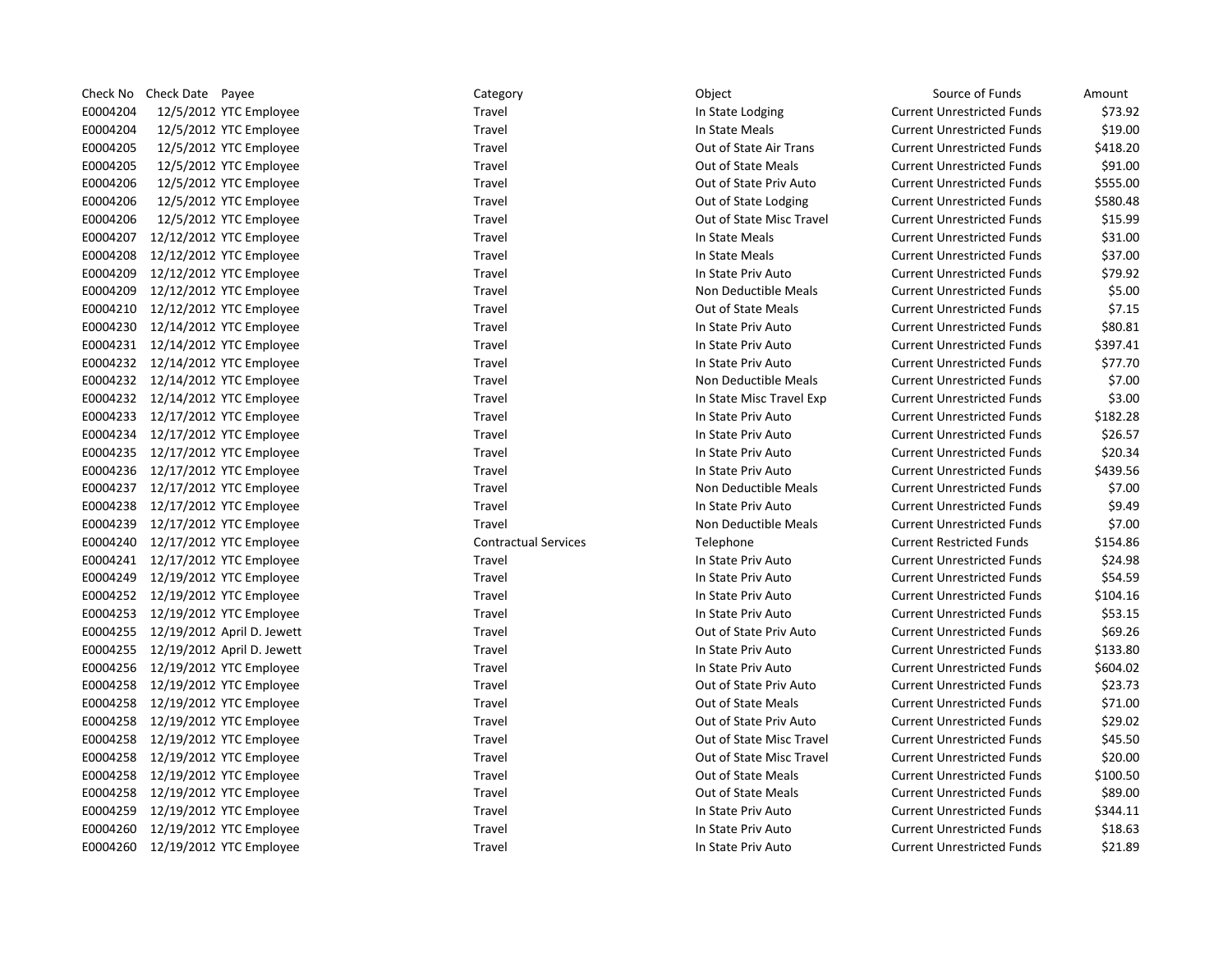| Check No | Check Date Payee                       | Category                    | Object                    | Source of Funds                   | Amount |
|----------|----------------------------------------|-----------------------------|---------------------------|-----------------------------------|--------|
| E0004204 | 12/5/2012 YTC Employee                 | Travel                      | In State Lodging          | <b>Current Unrestricted Funds</b> | \$73.  |
| E0004204 | 12/5/2012 YTC Employee                 | Travel                      | In State Meals            | <b>Current Unrestricted Funds</b> | \$19.  |
| E0004205 | 12/5/2012 YTC Employee                 | Travel                      | Out of State Air Trans    | <b>Current Unrestricted Funds</b> | \$418. |
| E0004205 | 12/5/2012 YTC Employee                 | Travel                      | <b>Out of State Meals</b> | <b>Current Unrestricted Funds</b> | \$91.  |
| E0004206 | 12/5/2012 YTC Employee                 | Travel                      | Out of State Priv Auto    | <b>Current Unrestricted Funds</b> | \$555. |
| E0004206 | 12/5/2012 YTC Employee                 | Travel                      | Out of State Lodging      | <b>Current Unrestricted Funds</b> | \$580. |
| E0004206 | 12/5/2012 YTC Employee                 | Travel                      | Out of State Misc Travel  | <b>Current Unrestricted Funds</b> | \$15.5 |
| E0004207 | 12/12/2012 YTC Employee                | Travel                      | In State Meals            | <b>Current Unrestricted Funds</b> | \$31.  |
| E0004208 | 12/12/2012 YTC Employee                | Travel                      | In State Meals            | <b>Current Unrestricted Funds</b> | \$37.  |
| E0004209 | 12/12/2012 YTC Employee                | Travel                      | In State Priv Auto        | <b>Current Unrestricted Funds</b> | \$79.  |
| E0004209 | 12/12/2012 YTC Employee                | Travel                      | Non Deductible Meals      | <b>Current Unrestricted Funds</b> | \$5.0  |
| E0004210 | 12/12/2012 YTC Employee                | Travel                      | Out of State Meals        | <b>Current Unrestricted Funds</b> | \$7.   |
| E0004230 | 12/14/2012 YTC Employee                | Travel                      | In State Priv Auto        | <b>Current Unrestricted Funds</b> | \$80.5 |
| E0004231 | 12/14/2012 YTC Employee                | Travel                      | In State Priv Auto        | <b>Current Unrestricted Funds</b> | \$397. |
| E0004232 | 12/14/2012 YTC Employee                | Travel                      | In State Priv Auto        | <b>Current Unrestricted Funds</b> | \$77.  |
| E0004232 | 12/14/2012 YTC Employee                | Travel                      | Non Deductible Meals      | <b>Current Unrestricted Funds</b> | \$7.0  |
| E0004232 | 12/14/2012 YTC Employee                | Travel                      | In State Misc Travel Exp  | <b>Current Unrestricted Funds</b> | \$3.0  |
| E0004233 | 12/17/2012 YTC Employee                | Travel                      | In State Priv Auto        | <b>Current Unrestricted Funds</b> | \$182. |
| E0004234 | 12/17/2012 YTC Employee                | Travel                      | In State Priv Auto        | <b>Current Unrestricted Funds</b> | \$26.  |
| E0004235 | 12/17/2012 YTC Employee                | Travel                      | In State Priv Auto        | <b>Current Unrestricted Funds</b> | \$20.  |
| E0004236 | 12/17/2012 YTC Employee                | Travel                      | In State Priv Auto        | <b>Current Unrestricted Funds</b> | \$439. |
| E0004237 | 12/17/2012 YTC Employee                | Travel                      | Non Deductible Meals      | <b>Current Unrestricted Funds</b> | \$7.   |
| E0004238 | 12/17/2012 YTC Employee                | Travel                      | In State Priv Auto        | <b>Current Unrestricted Funds</b> | \$9.   |
| E0004239 | 12/17/2012 YTC Employee                | Travel                      | Non Deductible Meals      | <b>Current Unrestricted Funds</b> | \$7.   |
| E0004240 | 12/17/2012 YTC Employee                | <b>Contractual Services</b> | Telephone                 | <b>Current Restricted Funds</b>   | \$154. |
| E0004241 | 12/17/2012 YTC Employee                | Travel                      | In State Priv Auto        | <b>Current Unrestricted Funds</b> | \$24.  |
| E0004249 | 12/19/2012 YTC Employee                | Travel                      | In State Priv Auto        | <b>Current Unrestricted Funds</b> | \$54.  |
|          | E0004252 12/19/2012 YTC Employee       | Travel                      | In State Priv Auto        | <b>Current Unrestricted Funds</b> | \$104. |
| E0004253 | 12/19/2012 YTC Employee                | Travel                      | In State Priv Auto        | <b>Current Unrestricted Funds</b> | \$53.  |
| E0004255 | 12/19/2012 April D. Jewett             | Travel                      | Out of State Priv Auto    | <b>Current Unrestricted Funds</b> | \$69.  |
| E0004255 | 12/19/2012 April D. Jewett             | Travel                      | In State Priv Auto        | <b>Current Unrestricted Funds</b> | \$133. |
| E0004256 | 12/19/2012 YTC Employee                | Travel                      | In State Priv Auto        | <b>Current Unrestricted Funds</b> | \$604. |
| E0004258 | 12/19/2012 YTC Employee                | Travel                      | Out of State Priv Auto    | <b>Current Unrestricted Funds</b> | \$23.  |
| E0004258 | 12/19/2012 YTC Employee                | Travel                      | Out of State Meals        | <b>Current Unrestricted Funds</b> | \$71.  |
| E0004258 | 12/19/2012 YTC Employee                | Travel                      | Out of State Priv Auto    | <b>Current Unrestricted Funds</b> | \$29.  |
| E0004258 | 12/19/2012 YTC Employee                | Travel                      | Out of State Misc Travel  | <b>Current Unrestricted Funds</b> | \$45.  |
| E0004258 | 12/19/2012 YTC Employee                | Travel                      | Out of State Misc Travel  | <b>Current Unrestricted Funds</b> | \$20.0 |
| E0004258 | 12/19/2012 YTC Employee                | Travel                      | Out of State Meals        | <b>Current Unrestricted Funds</b> | \$100. |
| E0004258 | 12/19/2012 YTC Employee                | Travel                      | Out of State Meals        | <b>Current Unrestricted Funds</b> | \$89.  |
| E0004259 | 12/19/2012 YTC Employee                | Travel                      | In State Priv Auto        | <b>Current Unrestricted Funds</b> | \$344. |
|          | E0004260 12/19/2012 YTC Employee       | Travel                      | In State Priv Auto        | <b>Current Unrestricted Funds</b> | \$18.  |
|          | $FOMM260 - 12/19/2012$ VTC $Fmmlov$ ee | امبردTr                     | In State Driv Auto        | Current Unrectricted Funds        | 521.5  |